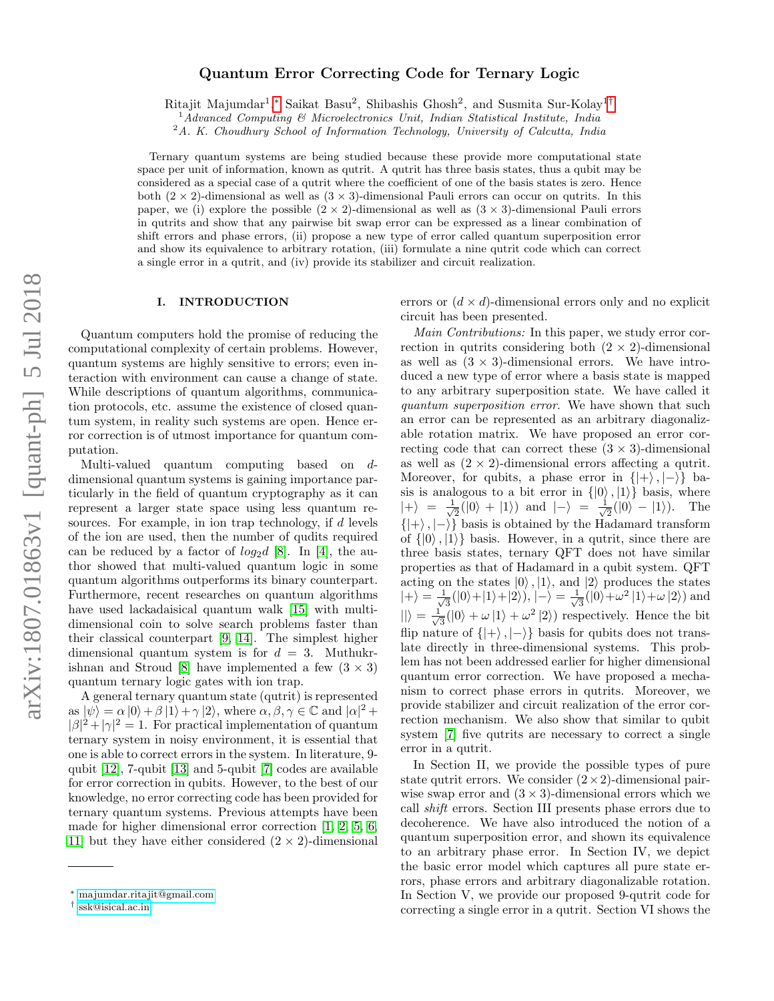# Quantum Error Correcting Code for Ternary Logic

Ritajit Majumdar<sup>1</sup>,\* Saikat Basu<sup>2</sup>, Shibashis Ghosh<sup>2</sup>, and Susmita Sur-Kolay<sup>1[†](#page-0-1)</sup>

<sup>1</sup>Advanced Computing & Microelectronics Unit, Indian Statistical Institute, India

<sup>2</sup>A. K. Choudhury School of Information Technology, University of Calcutta, India

Ternary quantum systems are being studied because these provide more computational state space per unit of information, known as qutrit. A qutrit has three basis states, thus a qubit may be considered as a special case of a qutrit where the coefficient of one of the basis states is zero. Hence both  $(2 \times 2)$ -dimensional as well as  $(3 \times 3)$ -dimensional Pauli errors can occur on qutrits. In this paper, we (i) explore the possible  $(2 \times 2)$ -dimensional as well as  $(3 \times 3)$ -dimensional Pauli errors in qutrits and show that any pairwise bit swap error can be expressed as a linear combination of shift errors and phase errors, (ii) propose a new type of error called quantum superposition error and show its equivalence to arbitrary rotation, (iii) formulate a nine qutrit code which can correct a single error in a qutrit, and (iv) provide its stabilizer and circuit realization.

### <span id="page-0-2"></span>I. INTRODUCTION

Quantum computers hold the promise of reducing the computational complexity of certain problems. However, quantum systems are highly sensitive to errors; even interaction with environment can cause a change of state. While descriptions of quantum algorithms, communication protocols, etc. assume the existence of closed quantum system, in reality such systems are open. Hence error correction is of utmost importance for quantum computation.

Multi-valued quantum computing based on ddimensional quantum systems is gaining importance particularly in the field of quantum cryptography as it can represent a larger state space using less quantum resources. For example, in ion trap technology, if d levels of the ion are used, then the number of qudits required can be reduced by a factor of  $log_2 d$  [\[8\]](#page-5-0). In [\[4\]](#page-5-1), the author showed that multi-valued quantum logic in some quantum algorithms outperforms its binary counterpart. Furthermore, recent researches on quantum algorithms have used lackadaisical quantum walk [\[15\]](#page-6-0) with multidimensional coin to solve search problems faster than their classical counterpart [\[9,](#page-5-2) [14\]](#page-6-1). The simplest higher dimensional quantum system is for  $d = 3$ . Muthukr-ishnan and Stroud [\[8\]](#page-5-0) have implemented a few  $(3 \times 3)$ quantum ternary logic gates with ion trap.

A general ternary quantum state (qutrit) is represented  $\langle \text{as } |\psi\rangle = \alpha |0\rangle + \beta |1\rangle + \gamma |2\rangle$ , where  $\alpha, \beta, \gamma \in \mathbb{C}$  and  $|\alpha|^2 + \beta |0\rangle + \beta |1\rangle + \gamma |2\rangle$  $|\beta|^2 + |\gamma|^2 = 1$ . For practical implementation of quantum ternary system in noisy environment, it is essential that one is able to correct errors in the system. In literature, 9 qubit [\[12\]](#page-6-2), 7-qubit [\[13\]](#page-6-3) and 5-qubit [\[7\]](#page-5-3) codes are available for error correction in qubits. However, to the best of our knowledge, no error correcting code has been provided for ternary quantum systems. Previous attempts have been made for higher dimensional error correction [\[1,](#page-5-4) [2,](#page-5-5) [5,](#page-5-6) [6,](#page-5-7) [11\]](#page-6-4) but they have either considered  $(2 \times 2)$ -dimensional

errors or  $(d \times d)$ -dimensional errors only and no explicit circuit has been presented.

Main Contributions: In this paper, we study error correction in qutrits considering both  $(2 \times 2)$ -dimensional as well as  $(3 \times 3)$ -dimensional errors. We have introduced a new type of error where a basis state is mapped to any arbitrary superposition state. We have called it quantum superposition error. We have shown that such an error can be represented as an arbitrary diagonalizable rotation matrix. We have proposed an error correcting code that can correct these  $(3 \times 3)$ -dimensional as well as  $(2 \times 2)$ -dimensional errors affecting a qutrit. Moreover, for qubits, a phase error in  $\{|+\rangle, |-\rangle\}$  basis is analogous to a bit error in  $\{|0\rangle, |1\rangle\}$  basis, where  $|+\rangle = \frac{1}{\sqrt{2}}$  $\frac{1}{2}(|0\rangle + |1\rangle)$  and  $|-\rangle = \frac{1}{\sqrt{2}}$  $\frac{1}{2}(|0\rangle - |1\rangle)$ . The  $\{|+\rangle, |-\rangle\}$  basis is obtained by the Hadamard transform of  $\{|0\rangle, |1\rangle\}$  basis. However, in a qutrit, since there are three basis states, ternary QFT does not have similar properties as that of Hadamard in a qubit system. QFT acting on the states  $|0\rangle$ ,  $|1\rangle$ , and  $|2\rangle$  produces the states  $|+\rangle = \frac{1}{\sqrt{2}}$  $\frac{1}{3}(|0\rangle+|1\rangle+|2\rangle),$   $|-\rangle=\frac{1}{\sqrt{2}}$  $\frac{1}{3}(|0\rangle + \omega^2 |1\rangle + \omega |2\rangle)$  and  $\ket{} = \frac{1}{\sqrt{2}}$  $\frac{1}{3}(|0\rangle + \omega |1\rangle + \omega^2 |2\rangle)$  respectively. Hence the bit flip nature of  $\{|\rangle, |\rangle\}$  basis for qubits does not translate directly in three-dimensional systems. This problem has not been addressed earlier for higher dimensional quantum error correction. We have proposed a mechanism to correct phase errors in qutrits. Moreover, we provide stabilizer and circuit realization of the error correction mechanism. We also show that similar to qubit system [\[7\]](#page-5-3) five qutrits are necessary to correct a single error in a qutrit.

In Section II, we provide the possible types of pure state qutrit errors. We consider  $(2 \times 2)$ -dimensional pairwise swap error and  $(3 \times 3)$ -dimensional errors which we call shift errors. Section III presents phase errors due to decoherence. We have also introduced the notion of a quantum superposition error, and shown its equivalence to an arbitrary phase error. In Section IV, we depict the basic error model which captures all pure state errors, phase errors and arbitrary diagonalizable rotation. In Section V, we provide our proposed 9-qutrit code for correcting a single error in a qutrit. Section VI shows the

<span id="page-0-0"></span><sup>∗</sup> [majumdar.ritajit@gmail.com](mailto:majumdar.ritajit@gmail.com)

<span id="page-0-1"></span><sup>†</sup> [ssk@isical.ac.in](mailto:ssk@isical.ac.in)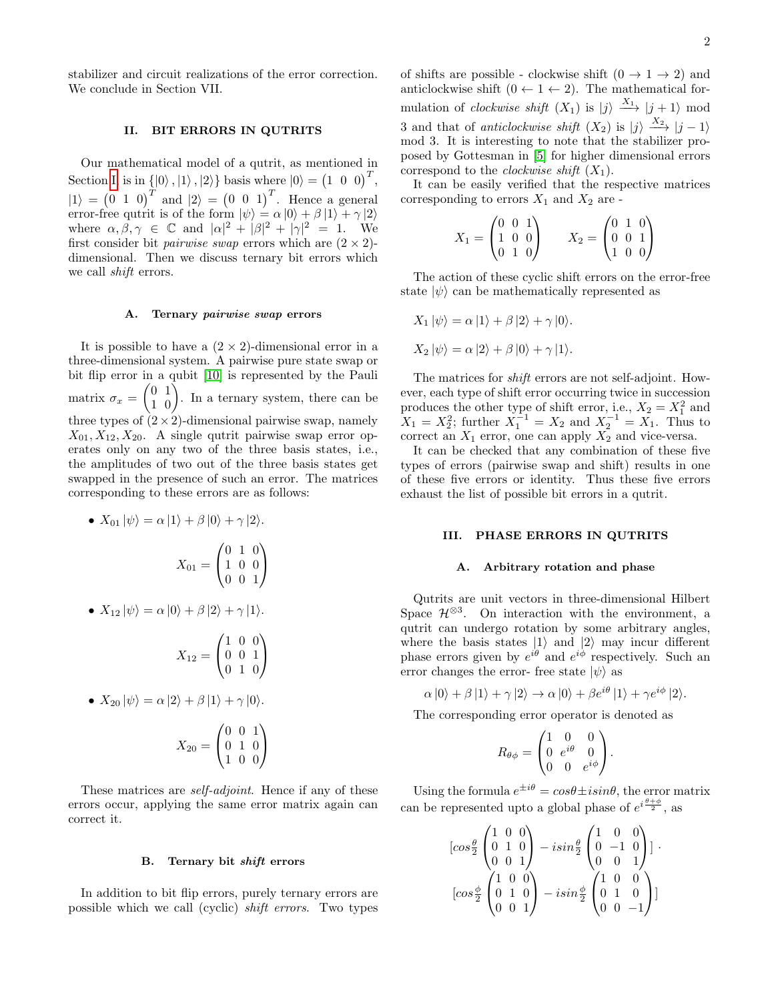stabilizer and circuit realizations of the error correction. We conclude in Section VII.

## <span id="page-1-0"></span>II. BIT ERRORS IN QUTRITS

Our mathematical model of a qutrit, as mentioned in Section [I,](#page-0-2) is in  $\{|0\rangle, |1\rangle, |2\rangle\}$  basis where  $|0\rangle = (1 \ 0 \ 0)^T$ ,  $|1\rangle = (0 \ 1 \ 0)^T$  and  $|2\rangle = (0 \ 0 \ 1)^T$ . Hence a general error-free qutrit is of the form  $|\psi\rangle = \alpha |0\rangle + \beta |1\rangle + \gamma |2\rangle$ where  $\alpha, \beta, \gamma \in \mathbb{C}$  and  $|\alpha|^2 + |\beta|^2 + |\gamma|^2 = 1$ . We first consider bit *pairwise swap* errors which are  $(2 \times 2)$ dimensional. Then we discuss ternary bit errors which we call shift errors.

### A. Ternary pairwise swap errors

It is possible to have a  $(2 \times 2)$ -dimensional error in a three-dimensional system. A pairwise pure state swap or bit flip error in a qubit [\[10\]](#page-6-5) is represented by the Pauli matrix  $\sigma_x = \begin{pmatrix} 0 & 1 \\ 1 & 0 \end{pmatrix}$ . In a ternary system, there can be three types of  $(2 \times 2)$ -dimensional pairwise swap, namely  $X_{01}, X_{12}, X_{20}$ . A single qutrit pairwise swap error operates only on any two of the three basis states, i.e., the amplitudes of two out of the three basis states get swapped in the presence of such an error. The matrices corresponding to these errors are as follows:

• 
$$
X_{01} |\psi\rangle = \alpha |1\rangle + \beta |0\rangle + \gamma |2\rangle
$$
.  

$$
X_{01} = \begin{pmatrix} 0 & 1 & 0 \\ 1 & 0 & 0 \\ 0 & 0 & 1 \end{pmatrix}
$$

• 
$$
X_{12} |\psi\rangle = \alpha |0\rangle + \beta |2\rangle + \gamma |1\rangle.
$$

$$
X_{12} = \begin{pmatrix} 1 & 0 & 0 \\ 0 & 0 & 1 \\ 0 & 1 & 0 \end{pmatrix}
$$

• 
$$
X_{20} |\psi\rangle = \alpha |2\rangle + \beta |1\rangle + \gamma |0\rangle.
$$

$$
X_{20} = \begin{pmatrix} 0 & 0 & 1 \\ 0 & 1 & 0 \\ 1 & 0 & 0 \end{pmatrix}
$$

These matrices are *self-adjoint*. Hence if any of these errors occur, applying the same error matrix again can correct it.

### B. Ternary bit shift errors

In addition to bit flip errors, purely ternary errors are possible which we call (cyclic) shift errors. Two types of shifts are possible - clockwise shift  $(0 \rightarrow 1 \rightarrow 2)$  and anticlockwise shift  $(0 \leftarrow 1 \leftarrow 2)$ . The mathematical formulation of *clockwise shift*  $(X_1)$  is  $|j\rangle \stackrel{X_1}{\longrightarrow} |j+1\rangle$  mod 3 and that of *anticlockwise shift*  $(X_2)$  is  $|j\rangle \xrightarrow{X_2} |j-1\rangle$ mod 3. It is interesting to note that the stabilizer proposed by Gottesman in [\[5\]](#page-5-6) for higher dimensional errors correspond to the *clockwise shift*  $(X_1)$ .

It can be easily verified that the respective matrices corresponding to errors  $X_1$  and  $X_2$  are -

$$
X_1 = \begin{pmatrix} 0 & 0 & 1 \\ 1 & 0 & 0 \\ 0 & 1 & 0 \end{pmatrix} \qquad X_2 = \begin{pmatrix} 0 & 1 & 0 \\ 0 & 0 & 1 \\ 1 & 0 & 0 \end{pmatrix}
$$

The action of these cyclic shift errors on the error-free state  $|\psi\rangle$  can be mathematically represented as

$$
X_1 |\psi\rangle = \alpha |1\rangle + \beta |2\rangle + \gamma |0\rangle.
$$

$$
X_2 |\psi\rangle = \alpha |2\rangle + \beta |0\rangle + \gamma |1\rangle.
$$

The matrices for shift errors are not self-adjoint. However, each type of shift error occurring twice in succession produces the other type of shift error, i.e.,  $X_2 = X_1^2$  and  $X_1 = X_2^2$ ; further  $X_1^{-1} = X_2$  and  $X_2^{-1} = X_1$ . Thus to correct an  $X_1$  error, one can apply  $X_2$  and vice-versa.

It can be checked that any combination of these five types of errors (pairwise swap and shift) results in one of these five errors or identity. Thus these five errors exhaust the list of possible bit errors in a qutrit.

# <span id="page-1-1"></span>III. PHASE ERRORS IN QUTRITS

#### A. Arbitrary rotation and phase

Qutrits are unit vectors in three-dimensional Hilbert Space  $\mathcal{H}^{\otimes 3}$ . On interaction with the environment, a qutrit can undergo rotation by some arbitrary angles, where the basis states  $|1\rangle$  and  $|2\rangle$  may incur different phase errors given by  $e^{i\theta}$  and  $e^{i\phi}$  respectively. Such an error changes the error- free state  $|\psi\rangle$  as

$$
\alpha |0\rangle + \beta |1\rangle + \gamma |2\rangle \rightarrow \alpha |0\rangle + \beta e^{i\theta} |1\rangle + \gamma e^{i\phi} |2\rangle.
$$

The corresponding error operator is denoted as

$$
R_{\theta\phi} = \begin{pmatrix} 1 & 0 & 0 \\ 0 & e^{i\theta} & 0 \\ 0 & 0 & e^{i\phi} \end{pmatrix}.
$$

Using the formula  $e^{\pm i\theta} = cos\theta \pm i sin\theta$ , the error matrix can be represented upto a global phase of  $e^{i\frac{\theta+\phi}{2}}$ , as

$$
[\cos\frac{\theta}{2} \begin{pmatrix} 1 & 0 & 0 \\ 0 & 1 & 0 \\ 0 & 0 & 1 \end{pmatrix} - i\sin\frac{\theta}{2} \begin{pmatrix} 1 & 0 & 0 \\ 0 & -1 & 0 \\ 0 & 0 & 1 \end{pmatrix} ] \cdot [\cos\frac{\phi}{2} \begin{pmatrix} 1 & 0 & 0 \\ 0 & 1 & 0 \\ 0 & 0 & 1 \end{pmatrix} - i\sin\frac{\phi}{2} \begin{pmatrix} 1 & 0 & 0 \\ 0 & 1 & 0 \\ 0 & 0 & -1 \end{pmatrix} ]
$$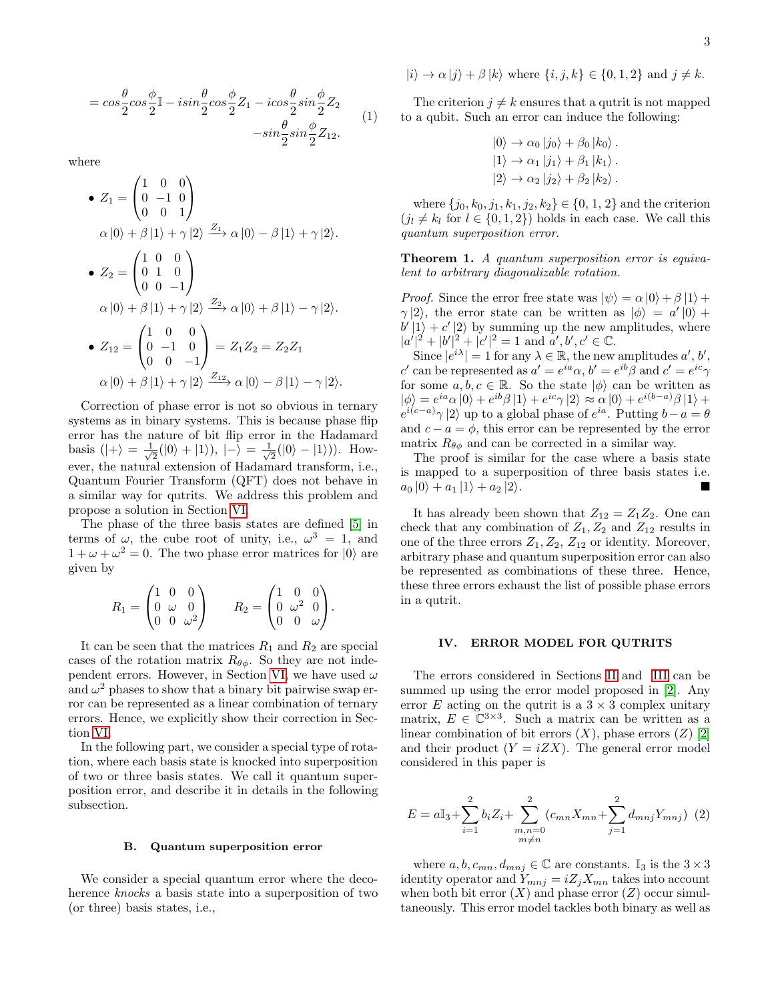$$
= \cos\frac{\theta}{2}\cos\frac{\phi}{2}\mathbb{I} - i\sin\frac{\theta}{2}\cos\frac{\phi}{2}Z_1 - i\cos\frac{\theta}{2}\sin\frac{\phi}{2}Z_2
$$
  

$$
-\sin\frac{\theta}{2}\sin\frac{\phi}{2}Z_{12}.
$$
 (1)

where

• 
$$
Z_1 = \begin{pmatrix} 1 & 0 & 0 \\ 0 & -1 & 0 \\ 0 & 0 & 1 \end{pmatrix}
$$
  
\n $\alpha |0\rangle + \beta |1\rangle + \gamma |2\rangle \xrightarrow{Z_1} \alpha |0\rangle - \beta |1\rangle + \gamma |2\rangle.$   
\n•  $Z_2 = \begin{pmatrix} 1 & 0 & 0 \\ 0 & 1 & 0 \\ 0 & 0 & -1 \end{pmatrix}$   
\n $\alpha |0\rangle + \beta |1\rangle + \gamma |2\rangle \xrightarrow{Z_2} \alpha |0\rangle + \beta |1\rangle - \gamma |2\rangle.$   
\n•  $Z_{12} = \begin{pmatrix} 1 & 0 & 0 \\ 0 & -1 & 0 \\ 0 & 0 & -1 \end{pmatrix} = Z_1 Z_2 = Z_2 Z_1$   
\n $\alpha |0\rangle + \beta |1\rangle + \gamma |2\rangle \xrightarrow{Z_{12}} \alpha |0\rangle - \beta |1\rangle - \gamma |2\rangle.$ 

Correction of phase error is not so obvious in ternary systems as in binary systems. This is because phase flip error has the nature of bit flip error in the Hadamard basis  $(|+\rangle = \frac{1}{\sqrt{2}}$  $\frac{1}{2}(|0\rangle+|1\rangle),$   $|-\rangle=\frac{1}{\sqrt{2}}$  $\frac{1}{2}(|0\rangle - |1\rangle)$ ). However, the natural extension of Hadamard transform, i.e., Quantum Fourier Transform (QFT) does not behave in a similar way for qutrits. We address this problem and propose a solution in Section [VI.](#page-3-0)

The phase of the three basis states are defined [\[5\]](#page-5-6) in terms of  $\omega$ , the cube root of unity, i.e.,  $\omega^3 = 1$ , and  $1 + \omega + \omega^2 = 0$ . The two phase error matrices for  $|0\rangle$  are given by

$$
R_1 = \begin{pmatrix} 1 & 0 & 0 \\ 0 & \omega & 0 \\ 0 & 0 & \omega^2 \end{pmatrix} \qquad R_2 = \begin{pmatrix} 1 & 0 & 0 \\ 0 & \omega^2 & 0 \\ 0 & 0 & \omega \end{pmatrix}.
$$

It can be seen that the matrices  $R_1$  and  $R_2$  are special cases of the rotation matrix  $R_{\theta\phi}$ . So they are not inde-pendent errors. However, in Section [VI,](#page-3-0) we have used  $\omega$ and  $\omega^2$  phases to show that a binary bit pairwise swap error can be represented as a linear combination of ternary errors. Hence, we explicitly show their correction in Section [VI.](#page-3-0)

In the following part, we consider a special type of rotation, where each basis state is knocked into superposition of two or three basis states. We call it quantum superposition error, and describe it in details in the following subsection.

#### B. Quantum superposition error

We consider a special quantum error where the decoherence knocks a basis state into a superposition of two (or three) basis states, i.e.,

$$
|i\rangle \to \alpha |j\rangle + \beta |k\rangle \text{ where } \{i, j, k\} \in \{0, 1, 2\} \text{ and } j \neq k.
$$

The criterion  $j \neq k$  ensures that a qutrit is not mapped to a qubit. Such an error can induce the following:

$$
|0\rangle \rightarrow \alpha_0 |j_0\rangle + \beta_0 |k_0\rangle.
$$
  

$$
|1\rangle \rightarrow \alpha_1 |j_1\rangle + \beta_1 |k_1\rangle.
$$
  

$$
|2\rangle \rightarrow \alpha_2 |j_2\rangle + \beta_2 |k_2\rangle.
$$

where  $\{j_0, k_0, j_1, k_1, j_2, k_2\} \in \{0, 1, 2\}$  and the criterion  $(j_l \neq k_l \text{ for } l \in \{0, 1, 2\})$  holds in each case. We call this quantum superposition error.

Theorem 1. A quantum superposition error is equivalent to arbitrary diagonalizable rotation.

*Proof.* Since the error free state was  $|\psi\rangle = \alpha |0\rangle + \beta |1\rangle +$  $\gamma$ |2), the error state can be written as  $|\phi\rangle = a' |0\rangle +$  $b' |1\rangle + c' |2\rangle$  by summing up the new amplitudes, where  $|a'|^2 + |b'|^2 + |c'|^2 = 1$  and  $a', b', c' \in \mathbb{C}$ .

Since  $|e^{i\lambda}| = 1$  for any  $\lambda \in \mathbb{R}$ , the new amplitudes  $a', b',$ c' can be represented as  $a' = e^{ia} \alpha$ ,  $b' = e^{ib} \beta$  and  $c' = e^{ic} \gamma$ for some  $a, b, c \in \mathbb{R}$ . So the state  $|\phi\rangle$  can be written as  $|\phi\rangle = e^{ia}\alpha |0\rangle + e^{ib}\beta |1\rangle + e^{ic}\gamma |2\rangle \approx \alpha |0\rangle + e^{i(b-a)}\beta |1\rangle +$  $e^{i(c-a)}\gamma$  |2) up to a global phase of  $e^{ia}$ . Putting  $b-a=\theta$ and  $c - a = \phi$ , this error can be represented by the error matrix  $R_{\theta\phi}$  and can be corrected in a similar way.

The proof is similar for the case where a basis state is mapped to a superposition of three basis states i.e.  $a_0 |0\rangle + a_1 |1\rangle + a_2 |2\rangle.$ 

It has already been shown that  $Z_{12} = Z_1 Z_2$ . One can check that any combination of  $Z_1, Z_2$  and  $Z_{12}$  results in one of the three errors  $Z_1, Z_2, Z_{12}$  or identity. Moreover, arbitrary phase and quantum superposition error can also be represented as combinations of these three. Hence, these three errors exhaust the list of possible phase errors in a qutrit.

#### IV. ERROR MODEL FOR QUTRITS

The errors considered in Sections [II](#page-1-0) and [III](#page-1-1) can be summed up using the error model proposed in [\[2\]](#page-5-5). Any error E acting on the qutrit is a  $3 \times 3$  complex unitary matrix,  $E \in \mathbb{C}^{3 \times 3}$ . Such a matrix can be written as a linear combination of bit errors  $(X)$ , phase errors  $(Z)$  [\[2\]](#page-5-5) and their product  $(Y = iZX)$ . The general error model considered in this paper is

<span id="page-2-0"></span>
$$
E = a\mathbb{I}_3 + \sum_{i=1}^2 b_i Z_i + \sum_{\substack{m,n=0 \ m \neq n}}^2 (c_{mn} X_{mn} + \sum_{j=1}^2 d_{mnj} Y_{mnj}) \tag{2}
$$

where  $a, b, c_{mn}, d_{mnj} \in \mathbb{C}$  are constants. I<sub>3</sub> is the  $3 \times 3$ identity operator and  $Y_{mnj} = iZ_jX_{mn}$  takes into account when both bit error  $(X)$  and phase error  $(Z)$  occur simultaneously. This error model tackles both binary as well as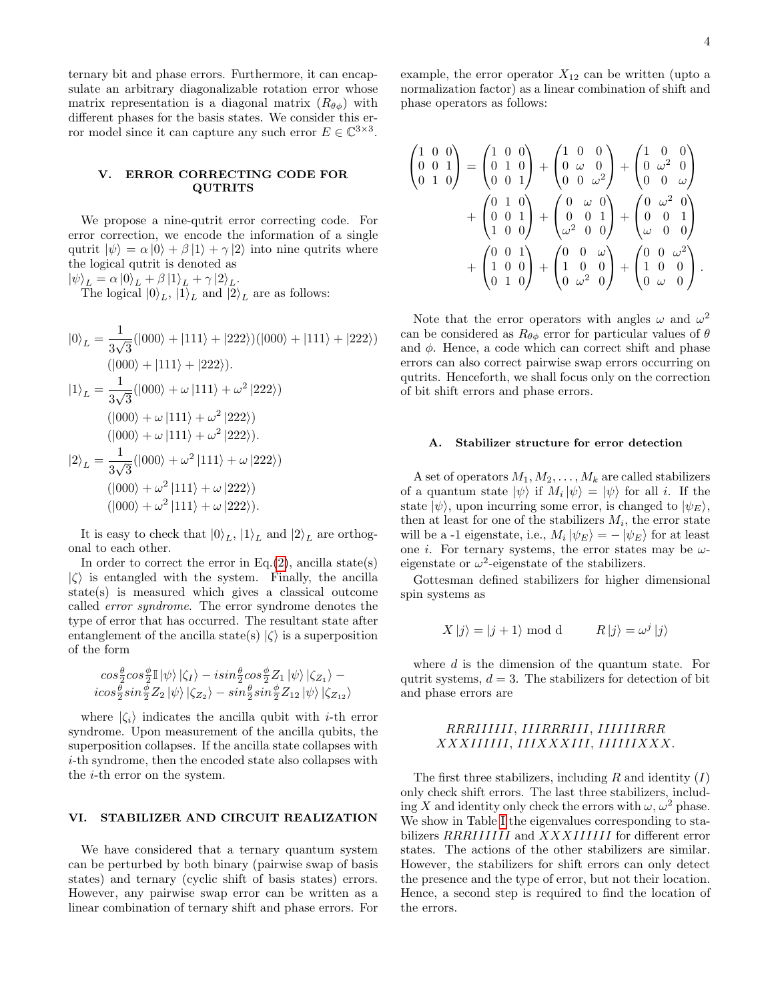ternary bit and phase errors. Furthermore, it can encapsulate an arbitrary diagonalizable rotation error whose matrix representation is a diagonal matrix  $(R_{\theta\phi})$  with different phases for the basis states. We consider this error model since it can capture any such error  $E \in \mathbb{C}^{3 \times 3}$ .

# V. ERROR CORRECTING CODE FOR QUTRITS

We propose a nine-qutrit error correcting code. For error correction, we encode the information of a single qutrit  $|\psi\rangle = \alpha |0\rangle + \beta |1\rangle + \gamma |2\rangle$  into nine qutrits where the logical qutrit is denoted as

 $|\psi\rangle_L = \alpha |0\rangle_L + \beta |1\rangle_L + \gamma |2\rangle_L.$ The logical  $|0\rangle_L$ ,  $|1\rangle_L$  and  $|2\rangle_L$  are as follows:

$$
|0\rangle_L = \frac{1}{3\sqrt{3}}(|000\rangle + |111\rangle + |222\rangle)(|000\rangle + |111\rangle + |222\rangle)
$$
  
\n
$$
(|000\rangle + |111\rangle + |222\rangle).
$$
  
\n
$$
|1\rangle_L = \frac{1}{3\sqrt{3}}(|000\rangle + \omega |111\rangle + \omega^2 |222\rangle)
$$
  
\n
$$
(|000\rangle + \omega |111\rangle + \omega^2 |222\rangle).
$$
  
\n
$$
|2\rangle_L = \frac{1}{3\sqrt{3}}(|000\rangle + \omega^2 |111\rangle + \omega |222\rangle).
$$
  
\n
$$
|000\rangle + \omega^2 |111\rangle + \omega |222\rangle)
$$
  
\n
$$
(|000\rangle + \omega^2 |111\rangle + \omega |222\rangle).
$$

It is easy to check that  $|0\rangle_L$ ,  $|1\rangle_L$  and  $|2\rangle_L$  are orthogonal to each other.

In order to correct the error in Eq. $(2)$ , ancilla state(s)  $|\zeta\rangle$  is entangled with the system. Finally, the ancilla state(s) is measured which gives a classical outcome called error syndrome. The error syndrome denotes the type of error that has occurred. The resultant state after entanglement of the ancilla state(s)  $|\zeta\rangle$  is a superposition of the form

$$
\begin{array}{l} cos\frac{\theta}{2}cos\frac{\phi}{2}\mathbb{I}\left|\psi\right\rangle \left|\zeta_{I}\right\rangle -isin\frac{\theta}{2}cos\frac{\phi}{2}Z_{1}\left|\psi\right\rangle \left|\zeta_{Z_{1}}\right\rangle -\\ i cos\frac{\theta}{2}sin\frac{\phi}{2}Z_{2}\left|\psi\right\rangle \left|\zeta_{Z_{2}}\right\rangle -sin\frac{\theta}{2}sin\frac{\phi}{2}Z_{12}\left|\psi\right\rangle \left|\zeta_{Z_{12}}\right\rangle \end{array}
$$

where  $|\zeta_i\rangle$  indicates the ancilla qubit with *i*-th error syndrome. Upon measurement of the ancilla qubits, the superposition collapses. If the ancilla state collapses with i-th syndrome, then the encoded state also collapses with the i-th error on the system.

# <span id="page-3-0"></span>VI. STABILIZER AND CIRCUIT REALIZATION

We have considered that a ternary quantum system can be perturbed by both binary (pairwise swap of basis states) and ternary (cyclic shift of basis states) errors. However, any pairwise swap error can be written as a linear combination of ternary shift and phase errors. For example, the error operator  $X_{12}$  can be written (upto a normalization factor) as a linear combination of shift and phase operators as follows:

$$
\begin{pmatrix}\n1 & 0 & 0 \\
0 & 0 & 1 \\
0 & 1 & 0\n\end{pmatrix} =\n\begin{pmatrix}\n1 & 0 & 0 \\
0 & 1 & 0 \\
0 & 0 & 1\n\end{pmatrix} +\n\begin{pmatrix}\n1 & 0 & 0 \\
0 & \omega & 0 \\
0 & 0 & \omega^2\n\end{pmatrix} +\n\begin{pmatrix}\n1 & 0 & 0 \\
0 & \omega^2 & 0 \\
0 & 0 & \omega\n\end{pmatrix} +\n\begin{pmatrix}\n0 & 1 & 0 \\
0 & 0 & 1 \\
1 & 0 & 0\n\end{pmatrix} +\n\begin{pmatrix}\n0 & \omega & 0 \\
0 & 0 & 1 \\
\omega^2 & 0 & 0\n\end{pmatrix} +\n\begin{pmatrix}\n0 & \omega^2 & 0 \\
0 & 0 & 1 \\
\omega & 0 & 0\n\end{pmatrix} +\n\begin{pmatrix}\n0 & 0 & 1 \\
1 & 0 & 0 \\
0 & 1 & 0\n\end{pmatrix} +\n\begin{pmatrix}\n0 & 0 & \omega \\
1 & 0 & 0 \\
0 & \omega^2 & 0\n\end{pmatrix} +\n\begin{pmatrix}\n0 & 0 & \omega^2 \\
1 & 0 & 0 \\
0 & \omega & 0\n\end{pmatrix}.
$$

Note that the error operators with angles  $\omega$  and  $\omega^2$ can be considered as  $R_{\theta\phi}$  error for particular values of  $\theta$ and  $\phi$ . Hence, a code which can correct shift and phase errors can also correct pairwise swap errors occurring on qutrits. Henceforth, we shall focus only on the correction of bit shift errors and phase errors.

#### A. Stabilizer structure for error detection

A set of operators  $M_1, M_2, \ldots, M_k$  are called stabilizers of a quantum state  $|\psi\rangle$  if  $M_i |\psi\rangle = |\psi\rangle$  for all *i*. If the state  $|\psi\rangle$ , upon incurring some error, is changed to  $|\psi_E\rangle$ , then at least for one of the stabilizers  $M_i$ , the error state will be a -1 eigenstate, i.e.,  $M_i |\psi_E\rangle = - |\psi_E\rangle$  for at least one *i*. For ternary systems, the error states may be  $\omega$ eigenstate or  $\omega^2$ -eigenstate of the stabilizers.

Gottesman defined stabilizers for higher dimensional spin systems as

$$
X |j\rangle = |j + 1\rangle \text{ mod d} \qquad R |j\rangle = \omega^j |j\rangle
$$

where  $d$  is the dimension of the quantum state. For qutrit systems,  $d = 3$ . The stabilizers for detection of bit and phase errors are

# RRRIIIIII, IIIRRRIII, IIIIIIRRR XXXIIIIII, IIIXXXIII, IIIIIIXXX.

The first three stabilizers, including  $R$  and identity  $(I)$ only check shift errors. The last three stabilizers, including X and identity only check the errors with  $\omega, \omega^2$  phase. We show in Table [I](#page-4-0) the eigenvalues corresponding to stabilizers RRRIIIIII and XXXIIIIII for different error states. The actions of the other stabilizers are similar. However, the stabilizers for shift errors can only detect the presence and the type of error, but not their location. Hence, a second step is required to find the location of the errors.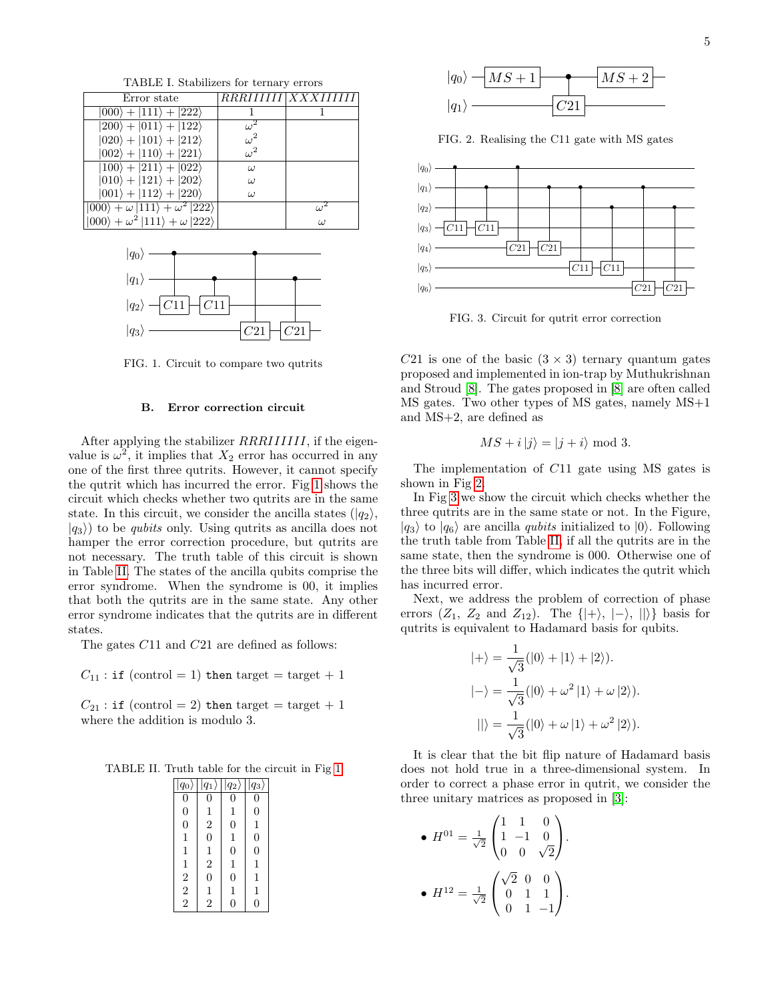<span id="page-4-0"></span>TABLE I. Stabilizers for ternary errors Error state RRRIIIIII XXXIIIIII  $|000\rangle + |111\rangle + |222\rangle$  1 1  $|200\rangle + |011\rangle + |122\rangle$  $\omega^2$  $|020\rangle + |101\rangle + |212\rangle$  $\omega^2$  $|002\rangle + |110\rangle + |221\rangle$  $\omega^2$  $|100\rangle + |211\rangle + |022\rangle$   $\omega$  $|010\rangle + |121\rangle + |202\rangle$   $\omega$  $|001\rangle + |112\rangle + |220\rangle$   $\qquad \omega$  $|000\rangle + \omega |111\rangle + \omega^2 |222\rangle$   $\omega$  $\omega$  $|000\rangle + \omega^2 |111\rangle + \omega |222\rangle$   $\omega$ 



<span id="page-4-1"></span>FIG. 1. Circuit to compare two qutrits

### B. Error correction circuit

After applying the stabilizer RRRIIIIII, if the eigenvalue is  $\omega^2$ , it implies that  $X_2$  error has occurred in any one of the first three qutrits. However, it cannot specify the qutrit which has incurred the error. Fig [1](#page-4-1) shows the circuit which checks whether two qutrits are in the same state. In this circuit, we consider the ancilla states  $(|q_2\rangle,$  $|q_3\rangle$  to be *qubits* only. Using qutrits as ancilla does not hamper the error correction procedure, but qutrits are not necessary. The truth table of this circuit is shown in Table [II.](#page-4-2) The states of the ancilla qubits comprise the error syndrome. When the syndrome is 00, it implies that both the qutrits are in the same state. Any other error syndrome indicates that the qutrits are in different states.

The gates C11 and C21 are defined as follows:

 $C_{11}$ : if (control = 1) then target = target + 1

 $C_{21}$ : if (control = 2) then target = target + 1 where the addition is modulo 3.

TABLE II. Truth table for the circuit in Fig [1](#page-4-1)

<span id="page-4-2"></span>

| $ q_0\rangle$  | $q_1$          | $q_2\rangle$   | $q_3$          |
|----------------|----------------|----------------|----------------|
| $\overline{0}$ | 0              | 0              | 0              |
| $\overline{0}$ | $\mathbf 1$    | 1              | $\overline{0}$ |
| $\overline{0}$ | $\frac{2}{0}$  | $\overline{0}$ | 1              |
| $\mathbf{1}$   |                | 1              | $\overline{0}$ |
| 1              |                | $\overline{0}$ | $\overline{0}$ |
| 1              | $\frac{1}{2}$  | 1              | 1              |
|                | $\overline{0}$ | $\overline{0}$ | 1              |
| $\frac{2}{2}$  | $\mathbf{1}$   | $\mathbf{1}$   | 1              |
|                | $\overline{2}$ | 0              | 0              |



<span id="page-4-3"></span>FIG. 2. Realising the C11 gate with MS gates



<span id="page-4-4"></span>FIG. 3. Circuit for qutrit error correction

C21 is one of the basic  $(3 \times 3)$  ternary quantum gates proposed and implemented in ion-trap by Muthukrishnan and Stroud [\[8\]](#page-5-0). The gates proposed in [\[8\]](#page-5-0) are often called MS gates. Two other types of MS gates, namely MS+1 and MS+2, are defined as

$$
MS + i |j\rangle = |j + i\rangle \bmod 3.
$$

The implementation of C11 gate using MS gates is shown in Fig [2.](#page-4-3)

In Fig [3](#page-4-4) we show the circuit which checks whether the three qutrits are in the same state or not. In the Figure,  $|q_3\rangle$  to  $|q_6\rangle$  are ancilla *qubits* initialized to  $|0\rangle$ . Following the truth table from Table [II,](#page-4-2) if all the qutrits are in the same state, then the syndrome is 000. Otherwise one of the three bits will differ, which indicates the qutrit which has incurred error.

Next, we address the problem of correction of phase errors  $(Z_1, Z_2 \text{ and } Z_{12})$ . The  $\{|\!+\rangle, |\!-\rangle, |\!|\rangle\}$  basis for qutrits is equivalent to Hadamard basis for qubits.

$$
|+\rangle = \frac{1}{\sqrt{3}}(|0\rangle + |1\rangle + |2\rangle).
$$
  

$$
|-\rangle = \frac{1}{\sqrt{3}}(|0\rangle + \omega^2 |1\rangle + \omega |2\rangle).
$$
  

$$
||\rangle = \frac{1}{\sqrt{3}}(|0\rangle + \omega |1\rangle + \omega^2 |2\rangle).
$$

It is clear that the bit flip nature of Hadamard basis does not hold true in a three-dimensional system. In order to correct a phase error in qutrit, we consider the three unitary matrices as proposed in [\[3\]](#page-5-8):

• 
$$
H^{01} = \frac{1}{\sqrt{2}} \begin{pmatrix} 1 & 1 & 0 \\ 1 & -1 & 0 \\ 0 & 0 & \sqrt{2} \end{pmatrix}.
$$
  
\n•  $H^{12} = \frac{1}{\sqrt{2}} \begin{pmatrix} \sqrt{2} & 0 & 0 \\ 0 & 1 & 1 \\ 0 & 1 & -1 \end{pmatrix}.$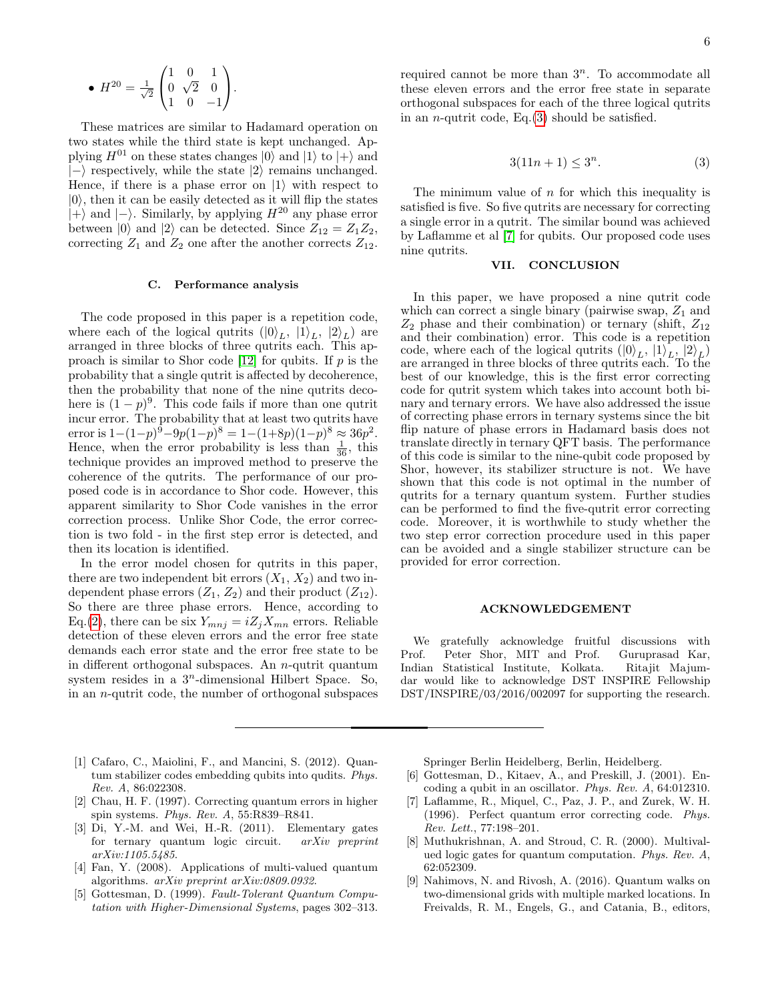• 
$$
H^{20} = \frac{1}{\sqrt{2}} \begin{pmatrix} 1 & 0 & 1 \\ 0 & \sqrt{2} & 0 \\ 1 & 0 & -1 \end{pmatrix}.
$$

These matrices are similar to Hadamard operation on two states while the third state is kept unchanged. Applying  $H^{01}$  on these states changes  $|0\rangle$  and  $|1\rangle$  to  $|+\rangle$  and  $\ket{-}$  respectively, while the state  $\ket{2}$  remains unchanged. Hence, if there is a phase error on  $|1\rangle$  with respect to  $|0\rangle$ , then it can be easily detected as it will flip the states  $|+\rangle$  and  $|-\rangle$ . Similarly, by applying  $H^{20}$  any phase error between  $|0\rangle$  and  $|2\rangle$  can be detected. Since  $Z_{12} = Z_1 Z_2$ , correcting  $Z_1$  and  $Z_2$  one after the another corrects  $Z_{12}$ .

#### C. Performance analysis

The code proposed in this paper is a repetition code, where each of the logical qutrits  $(|0\rangle_L, |1\rangle_L, |2\rangle_L)$  are arranged in three blocks of three qutrits each. This ap-proach is similar to Shor code [\[12\]](#page-6-2) for qubits. If  $p$  is the probability that a single qutrit is affected by decoherence, then the probability that none of the nine qutrits decohere is  $(1-p)^9$ . This code fails if more than one qutrit incur error. The probability that at least two qutrits have error is  $1 - (1-p)^9 - 9p(1-p)^8 = 1 - (1+8p)(1-p)^8 \approx 36p^2$ . Hence, when the error probability is less than  $\frac{1}{36}$ , this technique provides an improved method to preserve the coherence of the qutrits. The performance of our proposed code is in accordance to Shor code. However, this apparent similarity to Shor Code vanishes in the error correction process. Unlike Shor Code, the error correction is two fold - in the first step error is detected, and then its location is identified.

In the error model chosen for qutrits in this paper, there are two independent bit errors  $(X_1, X_2)$  and two independent phase errors  $(Z_1, Z_2)$  and their product  $(Z_{12})$ . So there are three phase errors. Hence, according to Eq.[\(2\)](#page-2-0), there can be six  $Y_{mnj} = iZ_jX_{mn}$  errors. Reliable detection of these eleven errors and the error free state demands each error state and the error free state to be in different orthogonal subspaces. An n-qutrit quantum system resides in a  $3<sup>n</sup>$ -dimensional Hilbert Space. So, in an n-qutrit code, the number of orthogonal subspaces required cannot be more than  $3^n$ . To accommodate all these eleven errors and the error free state in separate orthogonal subspaces for each of the three logical qutrits in an *n*-qutrit code, Eq. $(3)$  should be satisfied.

<span id="page-5-9"></span>
$$
3(11n+1) \le 3^n. \tag{3}
$$

The minimum value of  $n$  for which this inequality is satisfied is five. So five qutrits are necessary for correcting a single error in a qutrit. The similar bound was achieved by Laflamme et al [\[7\]](#page-5-3) for qubits. Our proposed code uses nine qutrits.

# VII. CONCLUSION

In this paper, we have proposed a nine qutrit code which can correct a single binary (pairwise swap,  $Z_1$  and  $Z_2$  phase and their combination) or ternary (shift,  $Z_{12}$ ) and their combination) error. This code is a repetition code, where each of the logical qutrits  $(|0\rangle_L, |1\rangle_L, |2\rangle_L)$ are arranged in three blocks of three qutrits each. To the best of our knowledge, this is the first error correcting code for qutrit system which takes into account both binary and ternary errors. We have also addressed the issue of correcting phase errors in ternary systems since the bit flip nature of phase errors in Hadamard basis does not translate directly in ternary QFT basis. The performance of this code is similar to the nine-qubit code proposed by Shor, however, its stabilizer structure is not. We have shown that this code is not optimal in the number of qutrits for a ternary quantum system. Further studies can be performed to find the five-qutrit error correcting code. Moreover, it is worthwhile to study whether the two step error correction procedure used in this paper can be avoided and a single stabilizer structure can be provided for error correction.

#### ACKNOWLEDGEMENT

We gratefully acknowledge fruitful discussions with Prof. Peter Shor, MIT and Prof. Guruprasad Kar, Indian Statistical Institute, Kolkata. Ritajit Majumdar would like to acknowledge DST INSPIRE Fellowship DST/INSPIRE/03/2016/002097 for supporting the research.

- <span id="page-5-4"></span>[1] Cafaro, C., Maiolini, F., and Mancini, S. (2012). Quantum stabilizer codes embedding qubits into qudits. Phys. Rev. A, 86:022308.
- <span id="page-5-5"></span>[2] Chau, H. F. (1997). Correcting quantum errors in higher spin systems. Phys. Rev. A, 55:R839–R841.
- <span id="page-5-8"></span>[3] Di, Y.-M. and Wei, H.-R. (2011). Elementary gates for ternary quantum logic circuit. arXiv preprint arXiv:1105.5485.
- <span id="page-5-1"></span>[4] Fan, Y. (2008). Applications of multi-valued quantum algorithms. arXiv preprint arXiv:0809.0932.
- <span id="page-5-6"></span>[5] Gottesman, D. (1999). Fault-Tolerant Quantum Computation with Higher-Dimensional Systems, pages 302–313.

Springer Berlin Heidelberg, Berlin, Heidelberg.

- <span id="page-5-7"></span>[6] Gottesman, D., Kitaev, A., and Preskill, J. (2001). Encoding a qubit in an oscillator. Phys. Rev. A, 64:012310.
- <span id="page-5-3"></span>[7] Laflamme, R., Miquel, C., Paz, J. P., and Zurek, W. H. (1996). Perfect quantum error correcting code. Phys. Rev. Lett., 77:198–201.
- <span id="page-5-0"></span>[8] Muthukrishnan, A. and Stroud, C. R. (2000). Multivalued logic gates for quantum computation. Phys. Rev. A, 62:052309.
- <span id="page-5-2"></span>[9] Nahimovs, N. and Rivosh, A. (2016). Quantum walks on two-dimensional grids with multiple marked locations. In Freivalds, R. M., Engels, G., and Catania, B., editors,